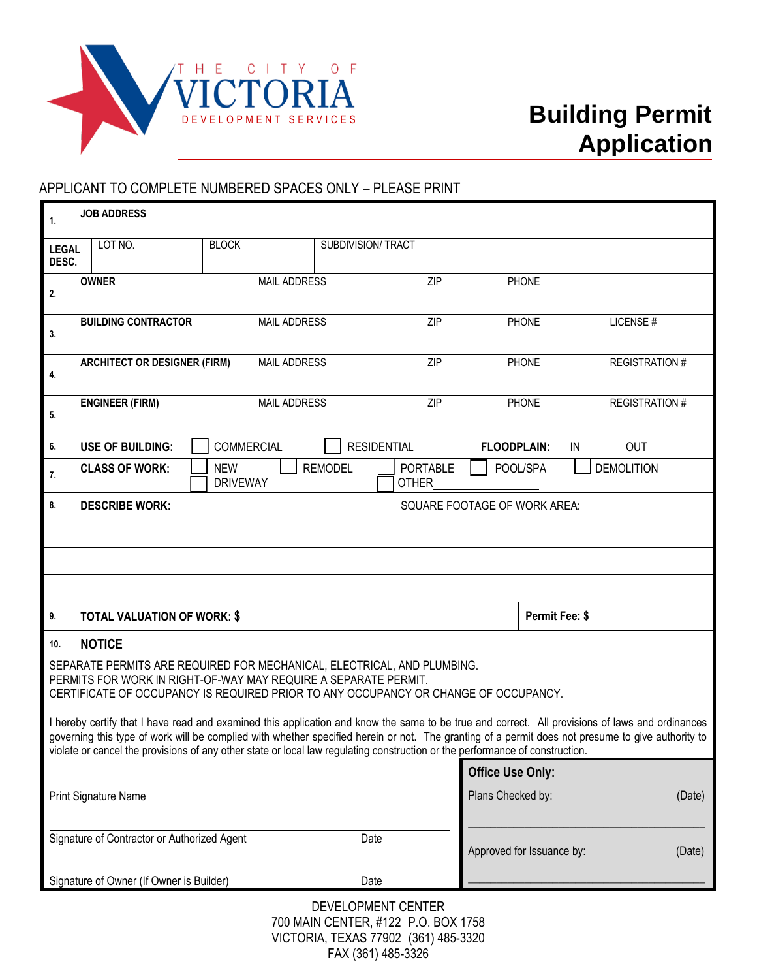

## APPLICANT TO COMPLETE NUMBERED SPACES ONLY – PLEASE PRINT

| $\mathbf{1}$ .                                                                                                                                                                                                                                                                                                                                                                                                                       | <b>JOB ADDRESS</b>                                                 |                               |                    |                                 |                              |                      |  |
|--------------------------------------------------------------------------------------------------------------------------------------------------------------------------------------------------------------------------------------------------------------------------------------------------------------------------------------------------------------------------------------------------------------------------------------|--------------------------------------------------------------------|-------------------------------|--------------------|---------------------------------|------------------------------|----------------------|--|
| <b>LEGAL</b><br>DESC.                                                                                                                                                                                                                                                                                                                                                                                                                | LOT NO.                                                            | <b>BLOCK</b>                  | SUBDIVISION/ TRACT |                                 |                              |                      |  |
| 2.                                                                                                                                                                                                                                                                                                                                                                                                                                   | <b>OWNER</b><br><b>MAIL ADDRESS</b>                                |                               | ZIP                | <b>PHONE</b>                    |                              |                      |  |
| 3.                                                                                                                                                                                                                                                                                                                                                                                                                                   | <b>BUILDING CONTRACTOR</b><br><b>MAIL ADDRESS</b>                  |                               | ZIP                | <b>PHONE</b>                    | LICENSE#                     |                      |  |
| 4.                                                                                                                                                                                                                                                                                                                                                                                                                                   | <b>ARCHITECT OR DESIGNER (FIRM)</b><br><b>MAIL ADDRESS</b>         |                               |                    | ZIP                             | <b>PHONE</b>                 | <b>REGISTRATION#</b> |  |
| 5.                                                                                                                                                                                                                                                                                                                                                                                                                                   | <b>ENGINEER (FIRM)</b><br><b>MAIL ADDRESS</b>                      |                               |                    | ZIP                             | <b>PHONE</b>                 | <b>REGISTRATION#</b> |  |
| 6.                                                                                                                                                                                                                                                                                                                                                                                                                                   | <b>RESIDENTIAL</b><br><b>USE OF BUILDING:</b><br><b>COMMERCIAL</b> |                               |                    |                                 | <b>FLOODPLAIN:</b>           | <b>OUT</b><br>IN     |  |
| 7.                                                                                                                                                                                                                                                                                                                                                                                                                                   | <b>CLASS OF WORK:</b>                                              | <b>NEW</b><br><b>DRIVEWAY</b> | <b>REMODEL</b>     | <b>PORTABLE</b><br><b>OTHER</b> | POOL/SPA                     | <b>DEMOLITION</b>    |  |
| 8.                                                                                                                                                                                                                                                                                                                                                                                                                                   | <b>DESCRIBE WORK:</b>                                              |                               |                    |                                 | SQUARE FOOTAGE OF WORK AREA: |                      |  |
|                                                                                                                                                                                                                                                                                                                                                                                                                                      |                                                                    |                               |                    |                                 |                              |                      |  |
|                                                                                                                                                                                                                                                                                                                                                                                                                                      |                                                                    |                               |                    |                                 |                              |                      |  |
|                                                                                                                                                                                                                                                                                                                                                                                                                                      |                                                                    |                               |                    |                                 |                              |                      |  |
|                                                                                                                                                                                                                                                                                                                                                                                                                                      |                                                                    |                               |                    |                                 |                              |                      |  |
| 9.                                                                                                                                                                                                                                                                                                                                                                                                                                   | <b>TOTAL VALUATION OF WORK: \$</b>                                 |                               |                    |                                 | Permit Fee: \$               |                      |  |
| <b>NOTICE</b><br>10.                                                                                                                                                                                                                                                                                                                                                                                                                 |                                                                    |                               |                    |                                 |                              |                      |  |
| SEPARATE PERMITS ARE REQUIRED FOR MECHANICAL, ELECTRICAL, AND PLUMBING.<br>PERMITS FOR WORK IN RIGHT-OF-WAY MAY REQUIRE A SEPARATE PERMIT.                                                                                                                                                                                                                                                                                           |                                                                    |                               |                    |                                 |                              |                      |  |
| CERTIFICATE OF OCCUPANCY IS REQUIRED PRIOR TO ANY OCCUPANCY OR CHANGE OF OCCUPANCY.                                                                                                                                                                                                                                                                                                                                                  |                                                                    |                               |                    |                                 |                              |                      |  |
| I hereby certify that I have read and examined this application and know the same to be true and correct. All provisions of laws and ordinances<br>governing this type of work will be complied with whether specified herein or not. The granting of a permit does not presume to give authority to<br>violate or cancel the provisions of any other state or local law regulating construction or the performance of construction. |                                                                    |                               |                    |                                 |                              |                      |  |
| <b>Office Use Only:</b>                                                                                                                                                                                                                                                                                                                                                                                                              |                                                                    |                               |                    |                                 |                              |                      |  |
| Print Signature Name                                                                                                                                                                                                                                                                                                                                                                                                                 |                                                                    |                               |                    |                                 | Plans Checked by:<br>(Date)  |                      |  |
|                                                                                                                                                                                                                                                                                                                                                                                                                                      |                                                                    |                               |                    |                                 |                              |                      |  |
| Signature of Contractor or Authorized Agent<br>Date                                                                                                                                                                                                                                                                                                                                                                                  |                                                                    |                               |                    |                                 | Approved for Issuance by:    | (Date)               |  |
|                                                                                                                                                                                                                                                                                                                                                                                                                                      | Signature of Owner (If Owner is Builder)                           |                               | Date               |                                 |                              |                      |  |
| DEVELOPMENT CENTER                                                                                                                                                                                                                                                                                                                                                                                                                   |                                                                    |                               |                    |                                 |                              |                      |  |

700 MAIN CENTER, #122 P.O. BOX 1758 VICTORIA, TEXAS 77902 (361) 485-3320 FAX (361) 485-3326